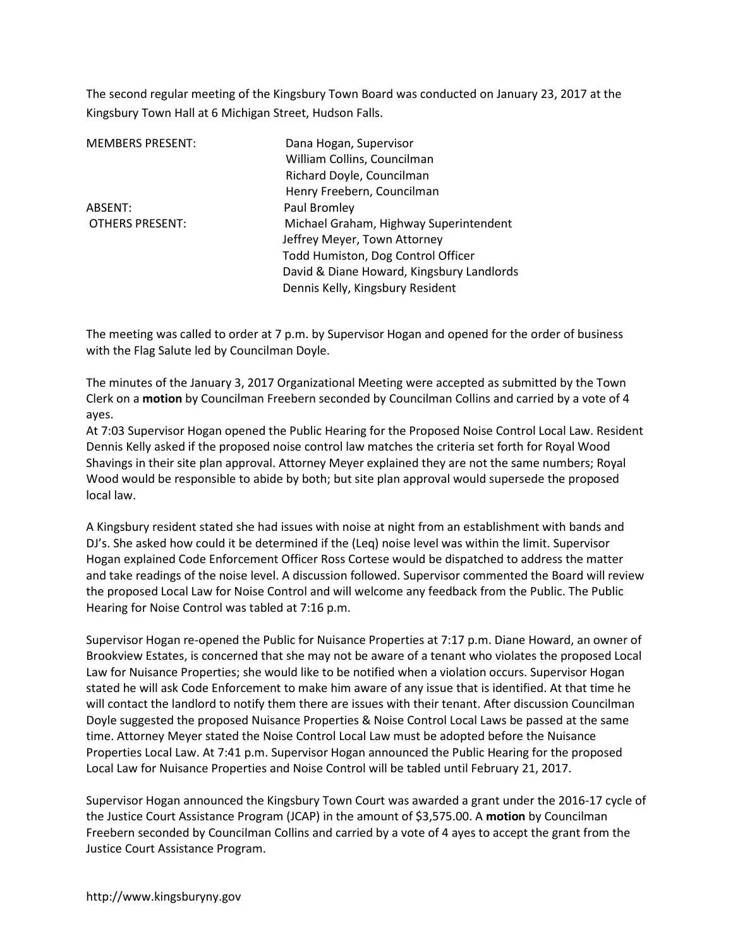The second regular meeting of the Kingsbury Town Board was conducted on January 23, 2017 at the Kingsbury Town Hall at 6 Michigan Street, Hudson Falls.

| <b>MEMBERS PRESENT:</b> | Dana Hogan, Supervisor                    |
|-------------------------|-------------------------------------------|
|                         | William Collins, Councilman               |
|                         | Richard Doyle, Councilman                 |
|                         | Henry Freebern, Councilman                |
| ABSENT:                 | Paul Bromley                              |
| <b>OTHERS PRESENT:</b>  | Michael Graham, Highway Superintendent    |
|                         | Jeffrey Meyer, Town Attorney              |
|                         | Todd Humiston, Dog Control Officer        |
|                         | David & Diane Howard, Kingsbury Landlords |
|                         | Dennis Kelly, Kingsbury Resident          |

The meeting was called to order at 7 p.m. by Supervisor Hogan and opened for the order of business with the Flag Salute led by Councilman Doyle.

The minutes of the January 3, 2017 Organizational Meeting were accepted as submitted by the Town Clerk on a **motion** by Councilman Freebern seconded by Councilman Collins and carried by a vote of 4 ayes.

At 7:03 Supervisor Hogan opened the Public Hearing for the Proposed Noise Control Local Law. Resident Dennis Kelly asked if the proposed noise control law matches the criteria set forth for Royal Wood Shavings in their site plan approval. Attorney Meyer explained they are not the same numbers; Royal Wood would be responsible to abide by both; but site plan approval would supersede the proposed local law.

A Kingsbury resident stated she had issues with noise at night from an establishment with bands and DJ's. She asked how could it be determined if the (Leq) noise level was within the limit. Supervisor Hogan explained Code Enforcement Officer Ross Cortese would be dispatched to address the matter and take readings of the noise level. A discussion followed. Supervisor commented the Board will review the proposed Local Law for Noise Control and will welcome any feedback from the Public. The Public Hearing for Noise Control was tabled at 7:16 p.m.

Supervisor Hogan re-opened the Public for Nuisance Properties at 7:17 p.m. Diane Howard, an owner of Brookview Estates, is concerned that she may not be aware of a tenant who violates the proposed Local Law for Nuisance Properties; she would like to be notified when a violation occurs. Supervisor Hogan stated he will ask Code Enforcement to make him aware of any issue that is identified. At that time he will contact the landlord to notify them there are issues with their tenant. After discussion Councilman Doyle suggested the proposed Nuisance Properties & Noise Control Local Laws be passed at the same time. Attorney Meyer stated the Noise Control Local Law must be adopted before the Nuisance Properties Local Law. At 7:41 p.m. Supervisor Hogan announced the Public Hearing for the proposed Local Law for Nuisance Properties and Noise Control will be tabled until February 21, 2017.

Supervisor Hogan announced the Kingsbury Town Court was awarded a grant under the 2016-17 cycle of the Justice Court Assistance Program (JCAP) in the amount of \$3,575.00. A **motion** by Councilman Freebern seconded by Councilman Collins and carried by a vote of 4 ayes to accept the grant from the Justice Court Assistance Program.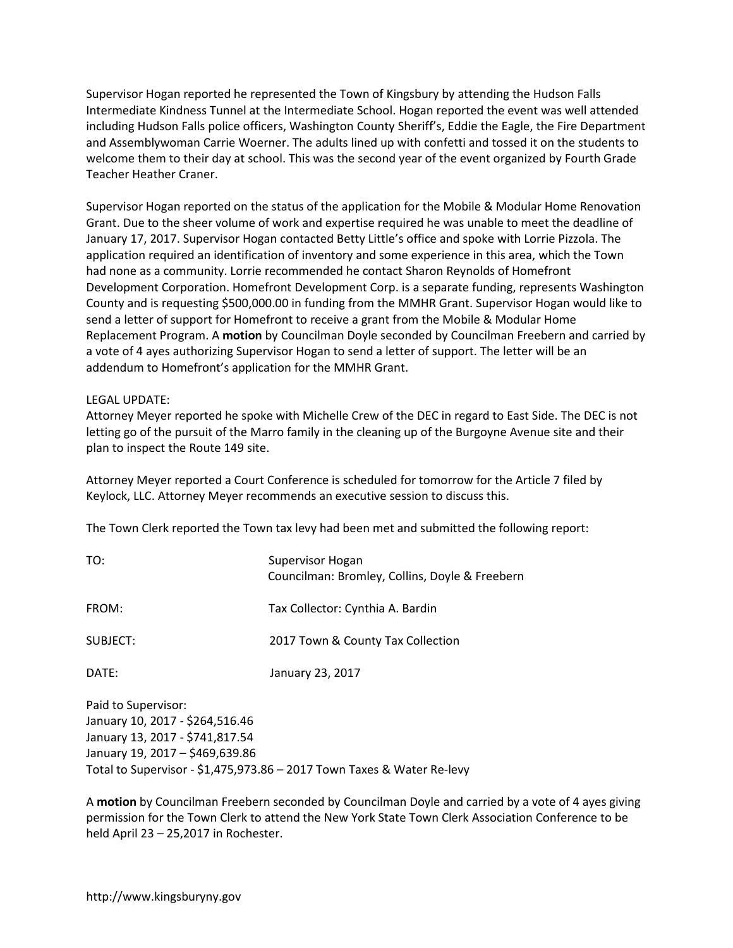Supervisor Hogan reported he represented the Town of Kingsbury by attending the Hudson Falls Intermediate Kindness Tunnel at the Intermediate School. Hogan reported the event was well attended including Hudson Falls police officers, Washington County Sheriff's, Eddie the Eagle, the Fire Department and Assemblywoman Carrie Woerner. The adults lined up with confetti and tossed it on the students to welcome them to their day at school. This was the second year of the event organized by Fourth Grade Teacher Heather Craner.

Supervisor Hogan reported on the status of the application for the Mobile & Modular Home Renovation Grant. Due to the sheer volume of work and expertise required he was unable to meet the deadline of January 17, 2017. Supervisor Hogan contacted Betty Little's office and spoke with Lorrie Pizzola. The application required an identification of inventory and some experience in this area, which the Town had none as a community. Lorrie recommended he contact Sharon Reynolds of Homefront Development Corporation. Homefront Development Corp. is a separate funding, represents Washington County and is requesting \$500,000.00 in funding from the MMHR Grant. Supervisor Hogan would like to send a letter of support for Homefront to receive a grant from the Mobile & Modular Home Replacement Program. A **motion** by Councilman Doyle seconded by Councilman Freebern and carried by a vote of 4 ayes authorizing Supervisor Hogan to send a letter of support. The letter will be an addendum to Homefront's application for the MMHR Grant.

## LEGAL UPDATE:

Attorney Meyer reported he spoke with Michelle Crew of the DEC in regard to East Side. The DEC is not letting go of the pursuit of the Marro family in the cleaning up of the Burgoyne Avenue site and their plan to inspect the Route 149 site.

Attorney Meyer reported a Court Conference is scheduled for tomorrow for the Article 7 filed by Keylock, LLC. Attorney Meyer recommends an executive session to discuss this.

The Town Clerk reported the Town tax levy had been met and submitted the following report:

| TO:      | Supervisor Hogan<br>Councilman: Bromley, Collins, Doyle & Freebern |
|----------|--------------------------------------------------------------------|
| FROM:    | Tax Collector: Cynthia A. Bardin                                   |
| SUBJECT: | 2017 Town & County Tax Collection                                  |
| DATE:    | January 23, 2017                                                   |

Paid to Supervisor: January 10, 2017 - \$264,516.46 January 13, 2017 - \$741,817.54 January 19, 2017 – \$469,639.86 Total to Supervisor - \$1,475,973.86 – 2017 Town Taxes & Water Re-levy

A **motion** by Councilman Freebern seconded by Councilman Doyle and carried by a vote of 4 ayes giving permission for the Town Clerk to attend the New York State Town Clerk Association Conference to be held April 23 – 25,2017 in Rochester.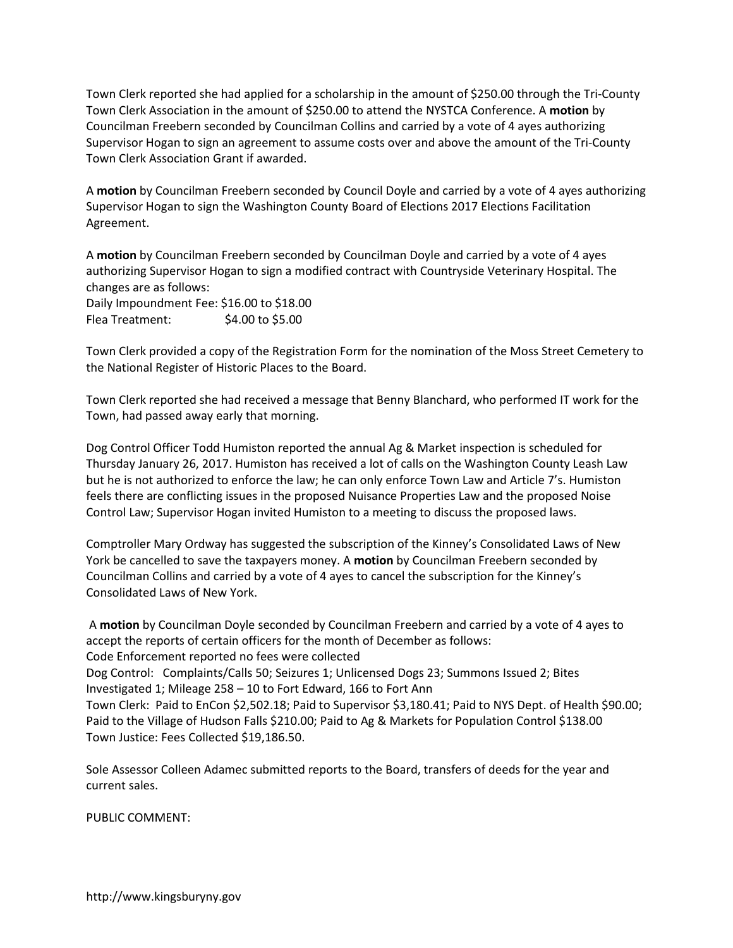Town Clerk reported she had applied for a scholarship in the amount of \$250.00 through the Tri-County Town Clerk Association in the amount of \$250.00 to attend the NYSTCA Conference. A **motion** by Councilman Freebern seconded by Councilman Collins and carried by a vote of 4 ayes authorizing Supervisor Hogan to sign an agreement to assume costs over and above the amount of the Tri-County Town Clerk Association Grant if awarded.

A **motion** by Councilman Freebern seconded by Council Doyle and carried by a vote of 4 ayes authorizing Supervisor Hogan to sign the Washington County Board of Elections 2017 Elections Facilitation Agreement.

A **motion** by Councilman Freebern seconded by Councilman Doyle and carried by a vote of 4 ayes authorizing Supervisor Hogan to sign a modified contract with Countryside Veterinary Hospital. The changes are as follows:

Daily Impoundment Fee: \$16.00 to \$18.00 Flea Treatment: \$4.00 to \$5.00

Town Clerk provided a copy of the Registration Form for the nomination of the Moss Street Cemetery to the National Register of Historic Places to the Board.

Town Clerk reported she had received a message that Benny Blanchard, who performed IT work for the Town, had passed away early that morning.

Dog Control Officer Todd Humiston reported the annual Ag & Market inspection is scheduled for Thursday January 26, 2017. Humiston has received a lot of calls on the Washington County Leash Law but he is not authorized to enforce the law; he can only enforce Town Law and Article 7's. Humiston feels there are conflicting issues in the proposed Nuisance Properties Law and the proposed Noise Control Law; Supervisor Hogan invited Humiston to a meeting to discuss the proposed laws.

Comptroller Mary Ordway has suggested the subscription of the Kinney's Consolidated Laws of New York be cancelled to save the taxpayers money. A **motion** by Councilman Freebern seconded by Councilman Collins and carried by a vote of 4 ayes to cancel the subscription for the Kinney's Consolidated Laws of New York.

 A **motion** by Councilman Doyle seconded by Councilman Freebern and carried by a vote of 4 ayes to accept the reports of certain officers for the month of December as follows: Code Enforcement reported no fees were collected Dog Control: Complaints/Calls 50; Seizures 1; Unlicensed Dogs 23; Summons Issued 2; Bites Investigated 1; Mileage 258 – 10 to Fort Edward, 166 to Fort Ann Town Clerk: Paid to EnCon \$2,502.18; Paid to Supervisor \$3,180.41; Paid to NYS Dept. of Health \$90.00; Paid to the Village of Hudson Falls \$210.00; Paid to Ag & Markets for Population Control \$138.00 Town Justice: Fees Collected \$19,186.50.

Sole Assessor Colleen Adamec submitted reports to the Board, transfers of deeds for the year and current sales.

PUBLIC COMMENT: